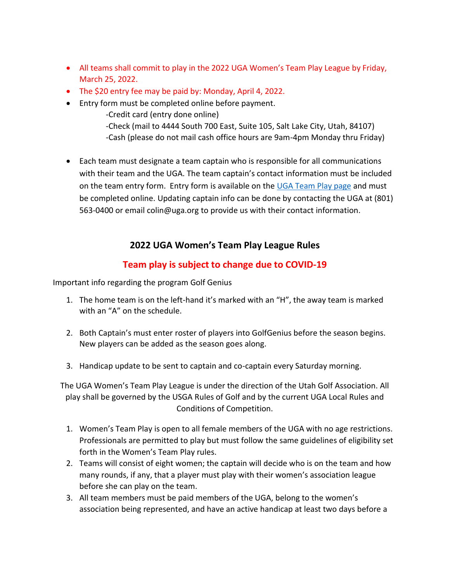- All teams shall commit to play in the 2022 UGA Women's Team Play League by Friday, March 25, 2022.
- The \$20 entry fee may be paid by: Monday, April 4, 2022.
- Entry form must be completed online before payment.
	- -Credit card (entry done online) -Check (mail to 4444 South 700 East, Suite 105, Salt Lake City, Utah, 84107) -Cash (please do not mail cash office hours are 9am-4pm Monday thru Friday)
- Each team must designate a team captain who is responsible for all communications with their team and the UGA. The team captain's contact information must be included on the team entry form. Entry form is available on th[e UGA Team Play](https://www.uga.org/team-play/) page and must be completed online. Updating captain info can be done by contacting the UGA at (801) 563-0400 or email colin@uga.org to provide us with their contact information.

# **2022 UGA Women's Team Play League Rules**

# **Team play is subject to change due to COVID-19**

Important info regarding the program Golf Genius

- 1. The home team is on the left-hand it's marked with an "H", the away team is marked with an "A" on the schedule.
- 2. Both Captain's must enter roster of players into GolfGenius before the season begins. New players can be added as the season goes along.
- 3. Handicap update to be sent to captain and co-captain every Saturday morning.

The UGA Women's Team Play League is under the direction of the Utah Golf Association. All play shall be governed by the USGA Rules of Golf and by the current UGA Local Rules and Conditions of Competition.

- 1. Women's Team Play is open to all female members of the UGA with no age restrictions. Professionals are permitted to play but must follow the same guidelines of eligibility set forth in the Women's Team Play rules.
- 2. Teams will consist of eight women; the captain will decide who is on the team and how many rounds, if any, that a player must play with their women's association league before she can play on the team.
- 3. All team members must be paid members of the UGA, belong to the women's association being represented, and have an active handicap at least two days before a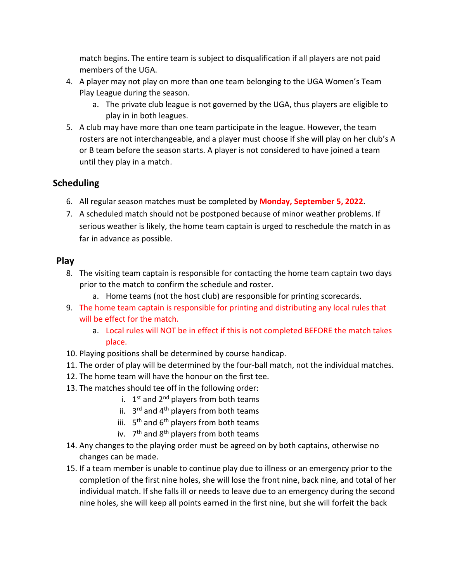match begins. The entire team is subject to disqualification if all players are not paid members of the UGA.

- 4. A player may not play on more than one team belonging to the UGA Women's Team Play League during the season.
	- a. The private club league is not governed by the UGA, thus players are eligible to play in in both leagues.
- 5. A club may have more than one team participate in the league. However, the team rosters are not interchangeable, and a player must choose if she will play on her club's A or B team before the season starts. A player is not considered to have joined a team until they play in a match.

#### **Scheduling**

- 6. All regular season matches must be completed by **Monday, September 5, 2022**.
- 7. A scheduled match should not be postponed because of minor weather problems. If serious weather is likely, the home team captain is urged to reschedule the match in as far in advance as possible.

#### **Play**

- 8. The visiting team captain is responsible for contacting the home team captain two days prior to the match to confirm the schedule and roster.
	- a. Home teams (not the host club) are responsible for printing scorecards.
- 9. The home team captain is responsible for printing and distributing any local rules that will be effect for the match.
	- a. Local rules will NOT be in effect if this is not completed BEFORE the match takes place.
- 10. Playing positions shall be determined by course handicap.
- 11. The order of play will be determined by the four-ball match, not the individual matches.
- 12. The home team will have the honour on the first tee.
- 13. The matches should tee off in the following order:
	- i. 1<sup>st</sup> and 2<sup>nd</sup> players from both teams
	- ii. 3<sup>rd</sup> and 4<sup>th</sup> players from both teams
	- iii. 5<sup>th</sup> and 6<sup>th</sup> players from both teams
	- iv. 7<sup>th</sup> and 8<sup>th</sup> players from both teams
- 14. Any changes to the playing order must be agreed on by both captains, otherwise no changes can be made.
- 15. If a team member is unable to continue play due to illness or an emergency prior to the completion of the first nine holes, she will lose the front nine, back nine, and total of her individual match. If she falls ill or needs to leave due to an emergency during the second nine holes, she will keep all points earned in the first nine, but she will forfeit the back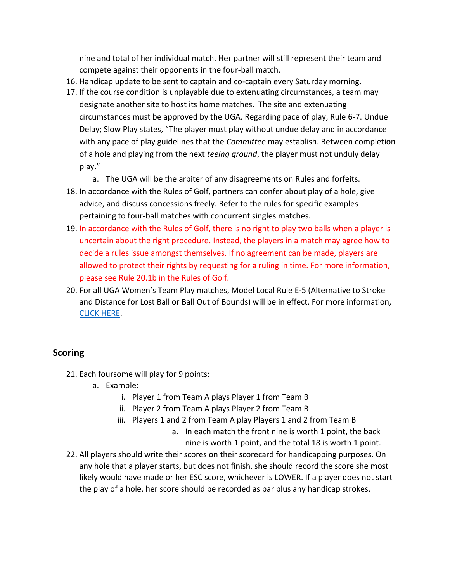nine and total of her individual match. Her partner will still represent their team and compete against their opponents in the four-ball match.

- 16. Handicap update to be sent to captain and co-captain every Saturday morning.
- 17. If the course condition is unplayable due to extenuating circumstances, a team may designate another site to host its home matches. The site and extenuating circumstances must be approved by the UGA. Regarding pace of play, Rule 6-7. Undue Delay; Slow Play states, "The player must play without undue delay and in accordance with any pace of play guidelines that the *Committee* may establish. Between completion of a hole and playing from the next *teeing ground*, the player must not unduly delay play."
	- a. The UGA will be the arbiter of any disagreements on Rules and forfeits.
- 18. In accordance with the Rules of Golf, partners can confer about play of a hole, give advice, and discuss concessions freely. Refer to the rules for specific examples pertaining to four-ball matches with concurrent singles matches.
- 19. In accordance with the Rules of Golf, there is no right to play two balls when a player is uncertain about the right procedure. Instead, the players in a match may agree how to decide a rules issue amongst themselves. If no agreement can be made, players are allowed to protect their rights by requesting for a ruling in time. For more information, please see Rule 20.1b in the Rules of Golf.
- 20. For all UGA Women's Team Play matches, Model Local Rule E-5 (Alternative to Stroke and Distance for Lost Ball or Ball Out of Bounds) will be in effect. For more information, [CLICK HERE.](https://www.usga.org/content/usga/home-page/rules-hub/rules-modernization/major-changes/golfs-new-rules-stroke-and-distance.html)

## **Scoring**

- 21. Each foursome will play for 9 points:
	- a. Example:
		- i. Player 1 from Team A plays Player 1 from Team B
		- ii. Player 2 from Team A plays Player 2 from Team B
		- iii. Players 1 and 2 from Team A play Players 1 and 2 from Team B
			- a. In each match the front nine is worth 1 point, the back nine is worth 1 point, and the total 18 is worth 1 point.
- 22. All players should write their scores on their scorecard for handicapping purposes. On any hole that a player starts, but does not finish, she should record the score she most likely would have made or her ESC score, whichever is LOWER. If a player does not start the play of a hole, her score should be recorded as par plus any handicap strokes.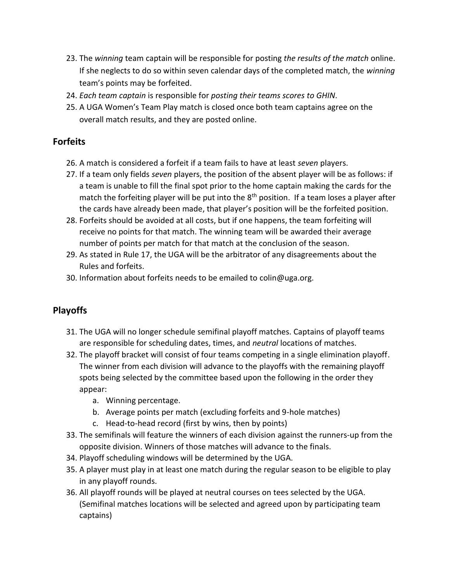- 23. The *winning* team captain will be responsible for posting *the results of the match* online. If she neglects to do so within seven calendar days of the completed match, the *winning* team's points may be forfeited.
- 24. *Each team captain* is responsible for *posting their teams scores to GHIN*.
- 25. A UGA Women's Team Play match is closed once both team captains agree on the overall match results, and they are posted online.

#### **Forfeits**

- 26. A match is considered a forfeit if a team fails to have at least *seven* players.
- 27. If a team only fields *seven* players, the position of the absent player will be as follows: if a team is unable to fill the final spot prior to the home captain making the cards for the match the forfeiting player will be put into the  $8<sup>th</sup>$  position. If a team loses a player after the cards have already been made, that player's position will be the forfeited position.
- 28. Forfeits should be avoided at all costs, but if one happens, the team forfeiting will receive no points for that match. The winning team will be awarded their average number of points per match for that match at the conclusion of the season.
- 29. As stated in Rule 17, the UGA will be the arbitrator of any disagreements about the Rules and forfeits.
- 30. Information about forfeits needs to be emailed to colin@uga.org.

## **Playoffs**

- 31. The UGA will no longer schedule semifinal playoff matches. Captains of playoff teams are responsible for scheduling dates, times, and *neutral* locations of matches.
- 32. The playoff bracket will consist of four teams competing in a single elimination playoff. The winner from each division will advance to the playoffs with the remaining playoff spots being selected by the committee based upon the following in the order they appear:
	- a. Winning percentage.
	- b. Average points per match (excluding forfeits and 9-hole matches)
	- c. Head-to-head record (first by wins, then by points)
- 33. The semifinals will feature the winners of each division against the runners-up from the opposite division. Winners of those matches will advance to the finals.
- 34. Playoff scheduling windows will be determined by the UGA.
- 35. A player must play in at least one match during the regular season to be eligible to play in any playoff rounds.
- 36. All playoff rounds will be played at neutral courses on tees selected by the UGA. (Semifinal matches locations will be selected and agreed upon by participating team captains)